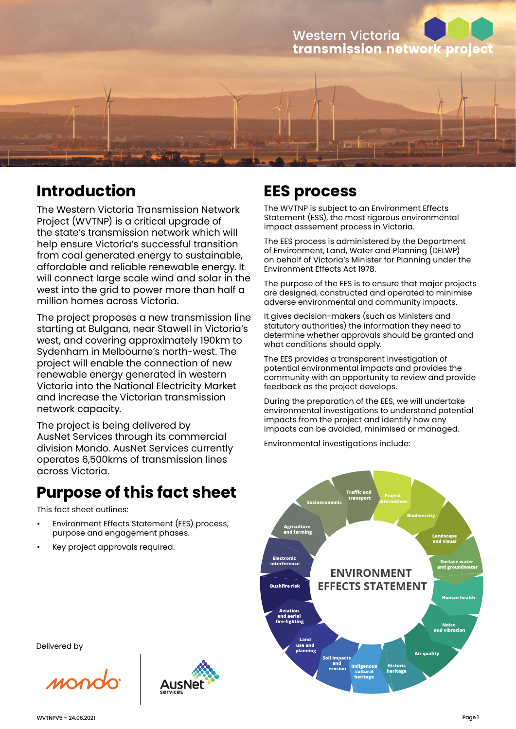

## **Introduction**

The Western Victoria Transmission Network Project (WVTNP) is a critical upgrade of the state's transmission network which will help ensure Victoria's successful transition from coal generated energy to sustainable, affordable and reliable renewable energy. It will connect large scale wind and solar in the west into the grid to power more than half a million homes across Victoria.

The project proposes a new transmission line starting at Bulgana, near Stawell in Victoria's west, and covering approximately 190km to Sydenham in Melbourne's north-west. The project will enable the connection of new renewable energy generated in western Victoria into the National Electricity Market and increase the Victorian transmission network capacity.

The project is being delivered by AusNet Services through its commercial division Mondo. AusNet Services currently operates 6,500kms of transmission lines across Victoria.

## **Purpose of this fact sheet**

This fact sheet outlines:

Environment Effects Statement (EES) process, purpose and engagement phases.

AusNe

Key project approvals required.

## **EES process**

The WVTNP is subject to an Environment Effects Statement (ESS), the most rigorous environmental impact asssement process in Victoria.

The EES process is administered by the Department of Environment, Land, Water and Planning (DELWP) on behalf of Victoria's Minister for Planning under the Environment Effects Act 1978.

The purpose of the EES is to ensure that major projects are designed, constructed and operated to minimise adverse environmental and community impacts.

It gives decision-makers (such as Ministers and statutory authorities) the information they need to determine whether approvals should be granted and what conditions should apply.

The EES provides a transparent investigation of potential environmental impacts and provides the community with an opportunity to review and provide feedback as the project develops.

During the preparation of the EES, we will undertake environmental investigations to understand potential impacts from the project and identify how any impacts can be avoided, minimised or managed.

Environmental investigations include:



Delivered by

MONC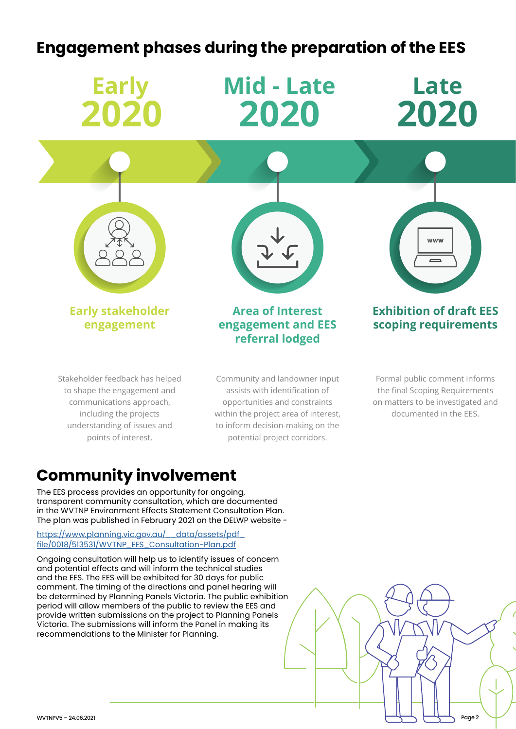# ENGAGEMENT PHASES **Engagement phases during the preparation of the EES**



to shape the engagement and communications approach, including the projects understanding of issues and points of interest.

assists with identification of opportunities and constraints within the project area of interest,

to inform decision-making on the potential project corridors.

### the final Scoping Requirements on matters to be investigated and documented in the EES.

## **Community involvement**

The EES process provides an opportunity for ongoing, transparent community consultation, which are documented in the WVTNP Environment Effects Statement Consultation Plan. The plan was published in February 2021 on the DELWP website -

#### [https://www.planning.vic.gov.au/\\_\\_data/assets/pdf\\_](https://www.planning.vic.gov.au/__data/assets/pdf_file/0018/513531/WVTNP_EES_Consultation-Plan.pdf) [file/0018/513531/WVTNP\\_EES\\_Consultation-Plan.pdf](https://www.planning.vic.gov.au/__data/assets/pdf_file/0018/513531/WVTNP_EES_Consultation-Plan.pdf)

Ongoing consultation will help us to identify issues of concern and potential effects and will inform the technical studies and the EES. The EES will be exhibited for 30 days for public comment. The timing of the directions and panel hearing will be determined by Planning Panels Victoria. The public exhibition period will allow members of the public to review the EES and provide written submissions on the project to Planning Panels Victoria. The submissions will inform the Panel in making its recommendations to the Minister for Planning.

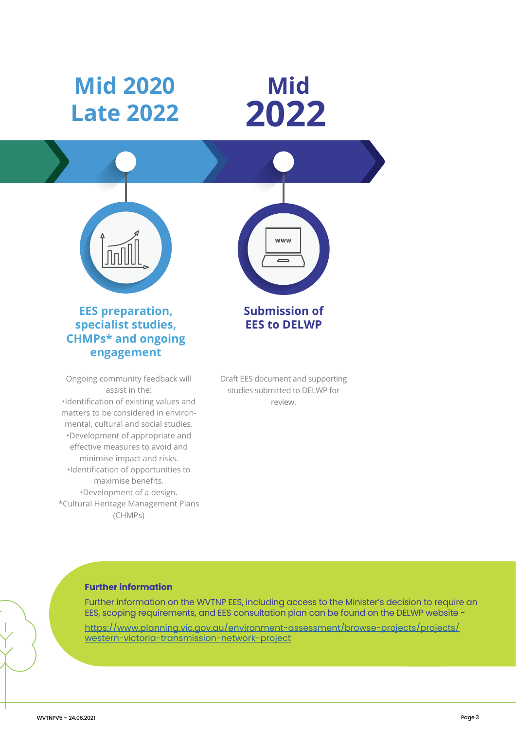

#### **Further information**

Further information on the WVTNP EES, including access to the Minister's decision to require an EES, scoping requirements, and EES consultation plan can be found on the DELWP website -

[https://www.planning.vic.gov.au/environment-assessment/browse-projects/projects/](https://www.planning.vic.gov.au/environment-assessment/browse-projects/projects/western-victoria-transmission-network-project) [western-victoria-transmission-network-project](https://www.planning.vic.gov.au/environment-assessment/browse-projects/projects/western-victoria-transmission-network-project)